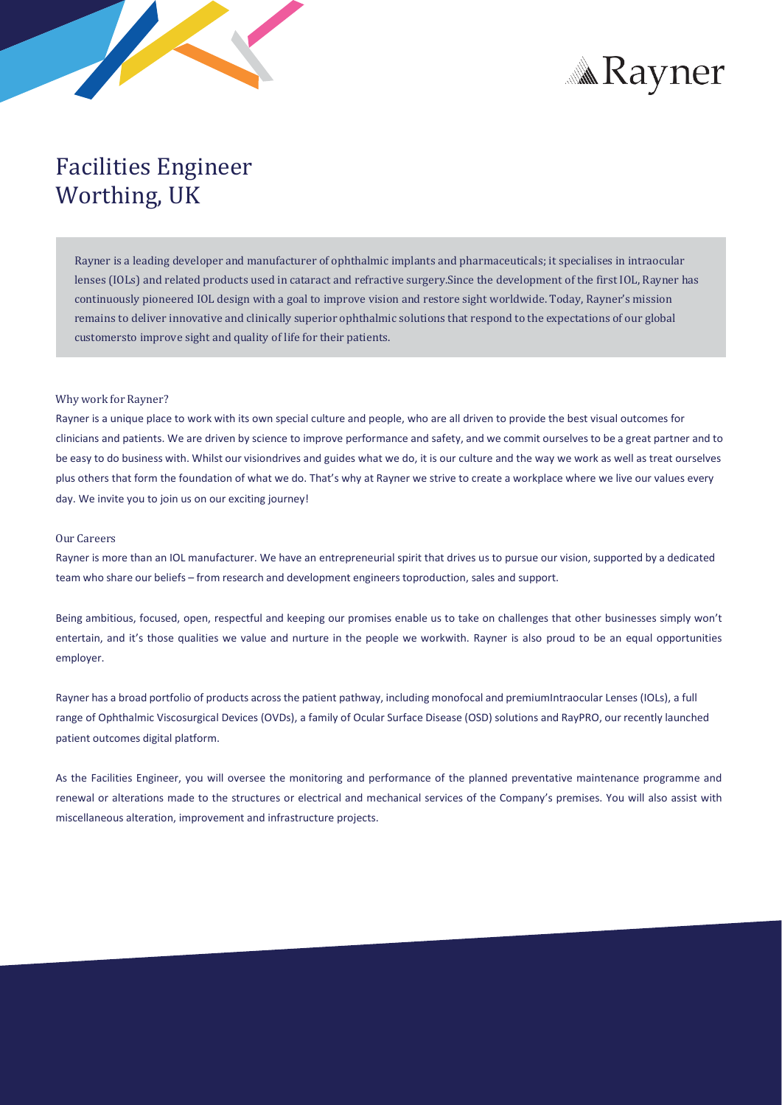



# Facilities Engineer Worthing, UK

Rayner is a leading developer and manufacturer of ophthalmic implants and pharmaceuticals; it specialises in intraocular lenses (IOLs) and related products used in cataract and refractive surgery.Since the development of the first IOL, Rayner has continuously pioneered IOL design with a goal to improve vision and restore sight worldwide. Today, Rayner's mission remains to deliver innovative and clinically superior ophthalmic solutions that respond to the expectations of our global customersto improve sight and quality of life for their patients.

### Why work for Rayner?

Rayner is a unique place to work with its own special culture and people, who are all driven to provide the best visual outcomes for clinicians and patients. We are driven by science to improve performance and safety, and we commit ourselves to be a great partner and to be easy to do business with. Whilst our visiondrives and guides what we do, it is our culture and the way we work as well as treat ourselves plus others that form the foundation of what we do. That's why at Rayner we strive to create a workplace where we live our values every day. We invite you to join us on our exciting journey!

## Our Careers

Rayner is more than an IOL manufacturer. We have an entrepreneurial spirit that drives us to pursue our vision, supported by a dedicated team who share our beliefs – from research and development engineerstoproduction, sales and support.

Being ambitious, focused, open, respectful and keeping our promises enable us to take on challenges that other businesses simply won't entertain, and it's those qualities we value and nurture in the people we workwith. Rayner is also proud to be an equal opportunities employer.

Rayner has a broad portfolio of products acrossthe patient pathway, including monofocal and premiumIntraocular Lenses (IOLs), a full range of Ophthalmic Viscosurgical Devices (OVDs), a family of Ocular Surface Disease (OSD) solutions and RayPRO, our recently launched patient outcomes digital platform.

As the Facilities Engineer, you will oversee the monitoring and performance of the planned preventative maintenance programme and renewal or alterations made to the structures or electrical and mechanical services of the Company's premises. You will also assist with miscellaneous alteration, improvement and infrastructure projects.